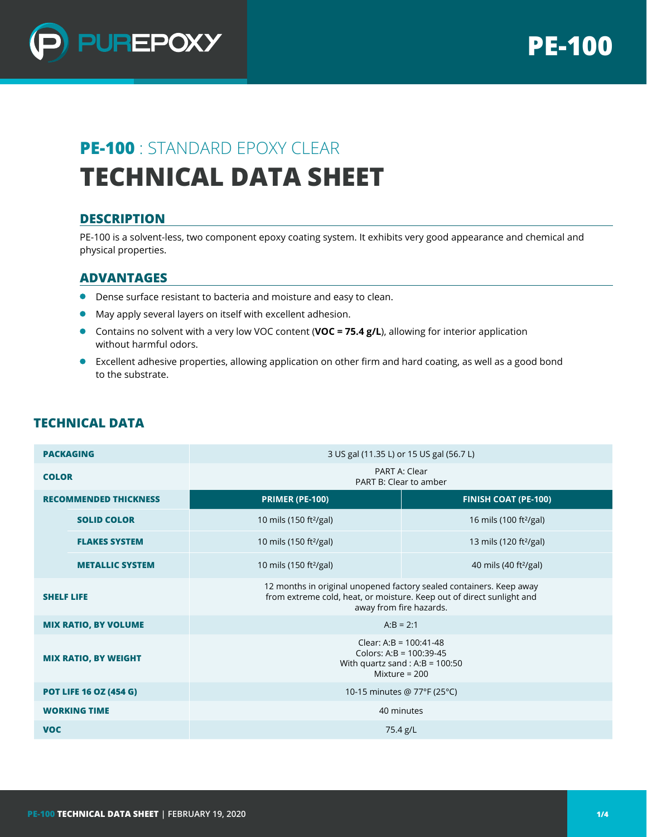

# **PE-100** : STANDARD EPOXY CLEAR **TECHNICAL DATA SHEET**

## **DESCRIPTION**

PE-100 is a solvent-less, two component epoxy coating system. It exhibits very good appearance and chemical and physical properties.

### **ADVANTAGES**

- Dense surface resistant to bacteria and moisture and easy to clean.
- May apply several layers on itself with excellent adhesion.
- Contains no solvent with a very low VOC content (**VOC = 75.4 g/L**), allowing for interior application without harmful odors.
- Excellent adhesive properties, allowing application on other firm and hard coating, as well as a good bond to the substrate.

| <b>PACKAGING</b>              |                        | 3 US gal (11.35 L) or 15 US gal (56.7 L)                                                                                                                                |                                    |  |  |  |
|-------------------------------|------------------------|-------------------------------------------------------------------------------------------------------------------------------------------------------------------------|------------------------------------|--|--|--|
| <b>COLOR</b>                  |                        | PART A: Clear<br>PART B: Clear to amber                                                                                                                                 |                                    |  |  |  |
| <b>RECOMMENDED THICKNESS</b>  |                        | <b>PRIMER (PE-100)</b>                                                                                                                                                  | <b>FINISH COAT (PE-100)</b>        |  |  |  |
|                               | <b>SOLID COLOR</b>     | 10 mils (150 ft <sup>2</sup> /gal)                                                                                                                                      | 16 mils (100 ft <sup>2</sup> /gal) |  |  |  |
|                               | <b>FLAKES SYSTEM</b>   | 10 mils (150 ft <sup>2</sup> /gal)                                                                                                                                      | 13 mils (120 ft <sup>2</sup> /gal) |  |  |  |
|                               | <b>METALLIC SYSTEM</b> | 10 mils (150 ft <sup>2</sup> /gal)                                                                                                                                      | 40 mils (40 ft <sup>2</sup> /gal)  |  |  |  |
| <b>SHELF LIFE</b>             |                        | 12 months in original unopened factory sealed containers. Keep away<br>from extreme cold, heat, or moisture. Keep out of direct sunlight and<br>away from fire hazards. |                                    |  |  |  |
| <b>MIX RATIO, BY VOLUME</b>   |                        | $A:B = 2:1$                                                                                                                                                             |                                    |  |  |  |
| <b>MIX RATIO, BY WEIGHT</b>   |                        | Clear: A:B = $100:41-48$<br>Colors: A:B = $100:39-45$<br>With quartz sand : A:B = $100:50$<br>Mixture = $200$                                                           |                                    |  |  |  |
| <b>POT LIFE 16 OZ (454 G)</b> |                        | 10-15 minutes @ 77°F (25°C)                                                                                                                                             |                                    |  |  |  |
| <b>WORKING TIME</b>           |                        | 40 minutes                                                                                                                                                              |                                    |  |  |  |
| <b>VOC</b>                    |                        | 75.4 g/L                                                                                                                                                                |                                    |  |  |  |

# **TECHNICAL DATA**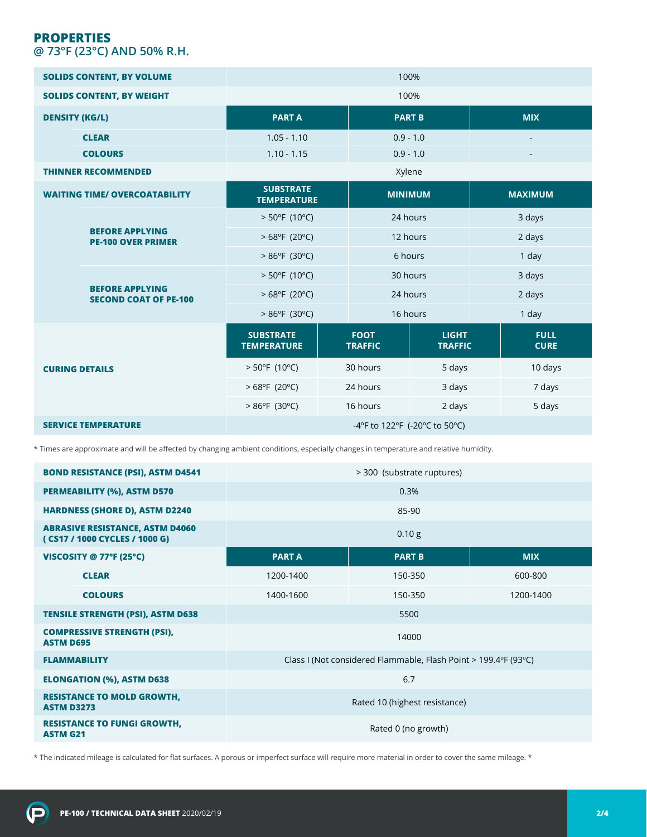# **PROPERTIES @ 73°F (23°C) AND 50% R.H.**

| <b>SOLIDS CONTENT, BY VOLUME</b>     |                                                        | 100%                                   |          |                               |                                |                          |                            |  |
|--------------------------------------|--------------------------------------------------------|----------------------------------------|----------|-------------------------------|--------------------------------|--------------------------|----------------------------|--|
| <b>SOLIDS CONTENT, BY WEIGHT</b>     |                                                        | 100%                                   |          |                               |                                |                          |                            |  |
| <b>DENSITY (KG/L)</b>                |                                                        | <b>PARTA</b>                           |          |                               | <b>PART B</b>                  |                          | <b>MIX</b>                 |  |
|                                      | <b>CLEAR</b>                                           | $1.05 - 1.10$                          |          | $0.9 - 1.0$                   |                                |                          |                            |  |
|                                      | <b>COLOURS</b>                                         | $1.10 - 1.15$                          |          | $0.9 - 1.0$                   |                                | $\overline{\phantom{a}}$ |                            |  |
| <b>THINNER RECOMMENDED</b>           |                                                        | Xylene                                 |          |                               |                                |                          |                            |  |
| <b>WAITING TIME/ OVERCOATABILITY</b> |                                                        | <b>SUBSTRATE</b><br><b>TEMPERATURE</b> |          | <b>MINIMUM</b>                |                                | <b>MAXIMUM</b>           |                            |  |
|                                      | <b>BEFORE APPLYING</b><br><b>PE-100 OVER PRIMER</b>    | $> 50^{\circ}$ F (10°C)                |          | 24 hours                      |                                |                          | 3 days                     |  |
|                                      |                                                        | $>68^{\circ}F(20^{\circ}C)$            |          | 12 hours                      |                                | 2 days                   |                            |  |
|                                      |                                                        | $>86^{\circ}F(30^{\circ}C)$            |          | 6 hours                       |                                | 1 day                    |                            |  |
|                                      | <b>BEFORE APPLYING</b><br><b>SECOND COAT OF PE-100</b> | $> 50^{\circ}$ F (10°C)                | 30 hours |                               |                                | 3 days                   |                            |  |
|                                      |                                                        | $>68^{\circ}F(20^{\circ}C)$            | 24 hours |                               |                                | 2 days                   |                            |  |
|                                      |                                                        | $>86^{\circ}F(30^{\circ}C)$            |          | 16 hours                      |                                | 1 day                    |                            |  |
| <b>CURING DETAILS</b>                |                                                        | <b>SUBSTRATE</b><br><b>TEMPERATURE</b> |          | <b>FOOT</b><br><b>TRAFFIC</b> | <b>LIGHT</b><br><b>TRAFFIC</b> |                          | <b>FULL</b><br><b>CURE</b> |  |
|                                      |                                                        | $> 50^{\circ}F(10^{\circ}C)$           |          | 30 hours                      | 5 days                         |                          | 10 days                    |  |
|                                      |                                                        | $>68^{\circ}F(20^{\circ}C)$            |          | 24 hours                      | 3 days                         |                          | 7 days                     |  |
|                                      |                                                        | $>86^{\circ}F(30^{\circ}C)$            |          | 16 hours                      | 2 days                         |                          | 5 days                     |  |
| <b>SERVICE TEMPERATURE</b>           |                                                        | -4°F to 122°F (-20°C to 50°C)          |          |                               |                                |                          |                            |  |

\* Times are approximate and will be affected by changing ambient conditions, especially changes in temperature and relative humidity.

| <b>BOND RESISTANCE (PSI), ASTM D4541</b>                                | > 300 (substrate ruptures)                                      |               |            |  |  |
|-------------------------------------------------------------------------|-----------------------------------------------------------------|---------------|------------|--|--|
| <b>PERMEABILITY (%), ASTM D570</b>                                      | 0.3%                                                            |               |            |  |  |
| <b>HARDNESS (SHORE D), ASTM D2240</b>                                   | 85-90                                                           |               |            |  |  |
| <b>ABRASIVE RESISTANCE, ASTM D4060</b><br>(CS17 / 1000 CYCLES / 1000 G) | 0.10 g                                                          |               |            |  |  |
| VISCOSITY @ 77°F (25°C)                                                 | <b>PARTA</b>                                                    | <b>PART B</b> | <b>MIX</b> |  |  |
| <b>CLEAR</b>                                                            | 1200-1400                                                       | 150-350       | 600-800    |  |  |
| <b>COLOURS</b>                                                          | 1400-1600                                                       | 150-350       | 1200-1400  |  |  |
| <b>TENSILE STRENGTH (PSI), ASTM D638</b>                                | 5500                                                            |               |            |  |  |
| <b>COMPRESSIVE STRENGTH (PSI),</b><br><b>ASTM D695</b>                  | 14000                                                           |               |            |  |  |
| <b>FLAMMABILITY</b>                                                     | Class I (Not considered Flammable, Flash Point > 199.4°F (93°C) |               |            |  |  |
| <b>ELONGATION (%), ASTM D638</b>                                        | 6.7                                                             |               |            |  |  |
| <b>RESISTANCE TO MOLD GROWTH,</b><br><b>ASTM D3273</b>                  | Rated 10 (highest resistance)                                   |               |            |  |  |
| <b>RESISTANCE TO FUNGI GROWTH,</b><br><b>ASTM G21</b>                   | Rated 0 (no growth)                                             |               |            |  |  |

\* The indicated mileage is calculated for flat surfaces. A porous or imperfect surface will require more material in order to cover the same mileage. \*

 $\left( \mathbf{p}\right)$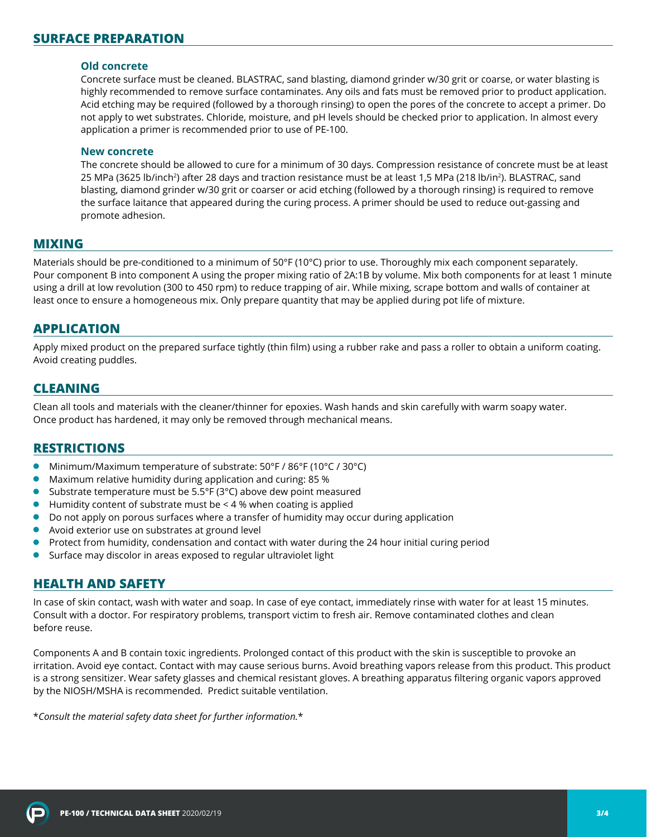#### **Old concrete**

Concrete surface must be cleaned. BLASTRAC, sand blasting, diamond grinder w/30 grit or coarse, or water blasting is highly recommended to remove surface contaminates. Any oils and fats must be removed prior to product application. Acid etching may be required (followed by a thorough rinsing) to open the pores of the concrete to accept a primer. Do not apply to wet substrates. Chloride, moisture, and pH levels should be checked prior to application. In almost every application a primer is recommended prior to use of PE-100.

#### **New concrete**

The concrete should be allowed to cure for a minimum of 30 days. Compression resistance of concrete must be at least 25 MPa (3625 lb/inch<sup>2</sup>) after 28 days and traction resistance must be at least 1,5 MPa (218 lb/in<sup>2</sup>). BLASTRAC, sand blasting, diamond grinder w/30 grit or coarser or acid etching (followed by a thorough rinsing) is required to remove the surface laitance that appeared during the curing process. A primer should be used to reduce out-gassing and promote adhesion.

#### **MIXING**

Materials should be pre-conditioned to a minimum of 50°F (10°C) prior to use. Thoroughly mix each component separately. Pour component B into component A using the proper mixing ratio of 2A:1B by volume. Mix both components for at least 1 minute using a drill at low revolution (300 to 450 rpm) to reduce trapping of air. While mixing, scrape bottom and walls of container at least once to ensure a homogeneous mix. Only prepare quantity that may be applied during pot life of mixture.

#### **APPLICATION**

Apply mixed product on the prepared surface tightly (thin film) using a rubber rake and pass a roller to obtain a uniform coating. Avoid creating puddles.

#### **CLEANING**

Clean all tools and materials with the cleaner/thinner for epoxies. Wash hands and skin carefully with warm soapy water. Once product has hardened, it may only be removed through mechanical means.

## **RESTRICTIONS**

- Minimum/Maximum temperature of substrate: 50°F / 86°F (10°C / 30°C)
- Maximum relative humidity during application and curing: 85 %
- Substrate temperature must be 5.5°F (3°C) above dew point measured
- $\bullet$  Humidity content of substrate must be  $\leq$  4 % when coating is applied
- Do not apply on porous surfaces where a transfer of humidity may occur during application
- Avoid exterior use on substrates at ground level
- **Protect from humidity, condensation and contact with water during the 24 hour initial curing period**
- Surface may discolor in areas exposed to regular ultraviolet light

#### **HEALTH AND SAFETY**

In case of skin contact, wash with water and soap. In case of eye contact, immediately rinse with water for at least 15 minutes. Consult with a doctor. For respiratory problems, transport victim to fresh air. Remove contaminated clothes and clean before reuse.

Components A and B contain toxic ingredients. Prolonged contact of this product with the skin is susceptible to provoke an irritation. Avoid eye contact. Contact with may cause serious burns. Avoid breathing vapors release from this product. This product is a strong sensitizer. Wear safety glasses and chemical resistant gloves. A breathing apparatus filtering organic vapors approved by the NIOSH/MSHA is recommended. Predict suitable ventilation.

\**Consult the material safety data sheet for further information.*\*